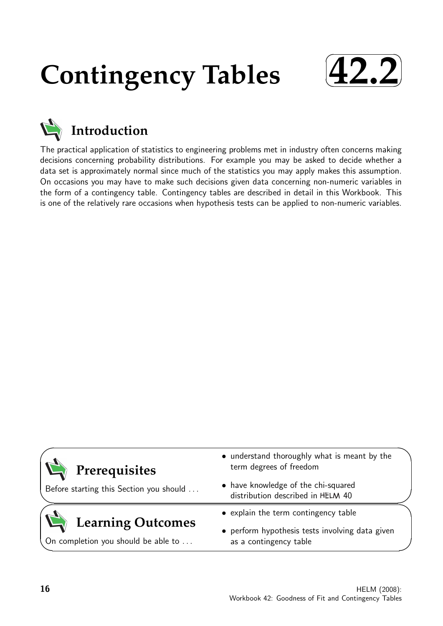# **Contingency Tables**





The practical application of statistics to engineering problems met in industry often concerns making decisions concerning probability distributions. For example you may be asked to decide whether a data set is approximately normal since much of the statistics you may apply makes this assumption. On occasions you may have to make such decisions given data concerning non-numeric variables in the form of a contingency table. Contingency tables are described in detail in this Workbook. This is one of the relatively rare occasions when hypothesis tests can be applied to non-numeric variables.

| Prerequisites<br>Before starting this Section you should        | • understand thoroughly what is meant by the<br>term degrees of freedom<br>• have knowledge of the chi-squared<br>distribution described in HELM 40 |
|-----------------------------------------------------------------|-----------------------------------------------------------------------------------------------------------------------------------------------------|
| <b>Learning Outcomes</b><br>On completion you should be able to | • explain the term contingency table<br>• perform hypothesis tests involving data given<br>as a contingency table                                   |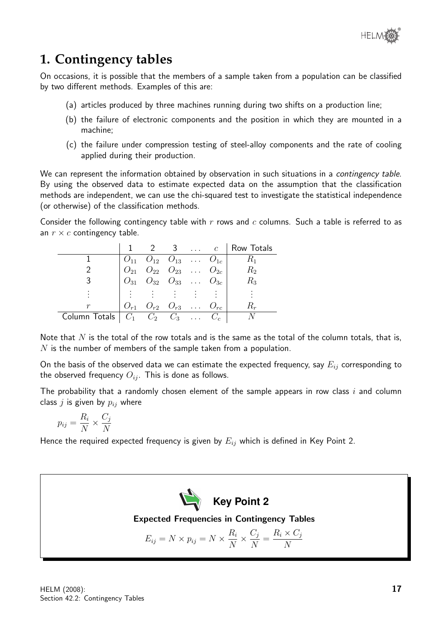

## **1. Contingency tables**

On occasions, it is possible that the members of a sample taken from a population can be classified by two different methods. Examples of this are:

- (a) articles produced by three machines running during two shifts on a production line;
- (b) the failure of electronic components and the position in which they are mounted in a machine;
- (c) the failure under compression testing of steel-alloy components and the rate of cooling applied during their production.

We can represent the information obtained by observation in such situations in a contingency table. By using the observed data to estimate expected data on the assumption that the classification methods are independent, we can use the chi-squared test to investigate the statistical independence (or otherwise) of the classification methods.

Consider the following contingency table with  $r$  rows and  $c$  columns. Such a table is referred to as an  $r \times c$  contingency table.

|                                                                 |                                                                                                                        |  |                   | 3 $\ldots$ $c$   Row Totals |
|-----------------------------------------------------------------|------------------------------------------------------------------------------------------------------------------------|--|-------------------|-----------------------------|
|                                                                 |                                                                                                                        |  |                   | $R_1$                       |
|                                                                 | $\begin{bmatrix} O_{11} & O_{12} & O_{13} & \dots & O_{1c} \\ O_{21} & O_{22} & O_{23} & \dots & O_{2c} \end{bmatrix}$ |  |                   | R <sub>2</sub>              |
|                                                                 | $O_{31}$ $O_{32}$ $O_{33}$ $O_{3c}$                                                                                    |  |                   | $R_3$                       |
|                                                                 | 生命生命 生命生命生命                                                                                                            |  |                   |                             |
| r                                                               | $O_{r1}$ $O_{r2}$ $O_{r3}$                                                                                             |  | $\ldots$ $O_{rc}$ |                             |
| Column Totals $\mid C_1 \cap C_2 \cap C_3 \cap \ldots \cap C_c$ |                                                                                                                        |  |                   |                             |

Note that  $N$  is the total of the row totals and is the same as the total of the column totals, that is,  $N$  is the number of members of the sample taken from a population.

On the basis of the observed data we can estimate the expected frequency, say  $E_{ii}$  corresponding to the observed frequency  $O_{ij}$ . This is done as follows.

The probability that a randomly chosen element of the sample appears in row class  $i$  and column class  $j$  is given by  $p_{ij}$  where

$$
p_{ij} = \frac{R_i}{N} \times \frac{C_j}{N}
$$

Hence the required expected frequency is given by  $E_{ij}$  which is defined in Key Point 2.

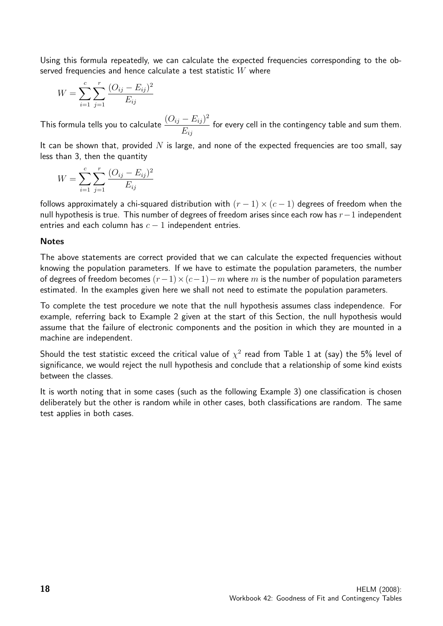Using this formula repeatedly, we can calculate the expected frequencies corresponding to the observed frequencies and hence calculate a test statistic  $W$  where

$$
W = \sum_{i=1}^{c} \sum_{j=1}^{r} \frac{(O_{ij} - E_{ij})^2}{E_{ij}}
$$

This formula tells you to calculate  $\frac{(O_{ij} - E_{ij})^2}{E_{ij}}$  $E_{ij}$ for every cell in the contingency table and sum them.

It can be shown that, provided  $N$  is large, and none of the expected frequencies are too small, say less than 3, then the quantity

$$
W = \sum_{i=1}^{c} \sum_{j=1}^{r} \frac{(O_{ij} - E_{ij})^2}{E_{ij}}
$$

follows approximately a chi-squared distribution with  $(r - 1) \times (c - 1)$  degrees of freedom when the null hypothesis is true. This number of degrees of freedom arises since each row has  $r-1$  independent entries and each column has  $c - 1$  independent entries.

#### **Notes**

The above statements are correct provided that we can calculate the expected frequencies without knowing the population parameters. If we have to estimate the population parameters, the number of degrees of freedom becomes  $(r-1)\times(c-1)-m$  where m is the number of population parameters estimated. In the examples given here we shall not need to estimate the population parameters.

To complete the test procedure we note that the null hypothesis assumes class independence. For example, referring back to Example 2 given at the start of this Section, the null hypothesis would assume that the failure of electronic components and the position in which they are mounted in a machine are independent.

Should the test statistic exceed the critical value of  $\chi^2$  read from Table 1 at (say) the 5% level of significance, we would reject the null hypothesis and conclude that a relationship of some kind exists between the classes.

It is worth noting that in some cases (such as the following Example 3) one classification is chosen deliberately but the other is random while in other cases, both classifications are random. The same test applies in both cases.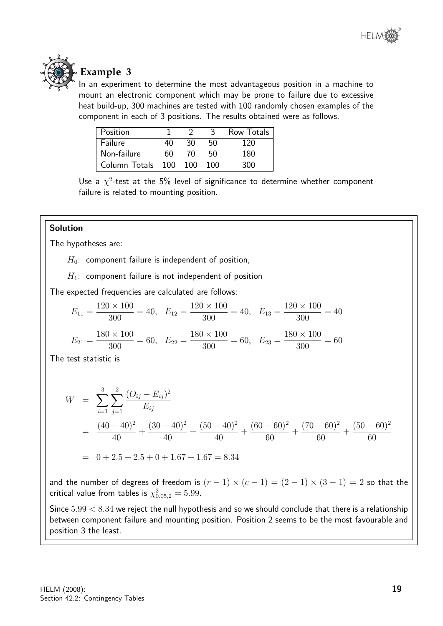



## **Example 3**

In an experiment to determine the most advantageous position in a machine to mount an electronic component which may be prone to failure due to excessive heat build-up, 300 machines are tested with 100 randomly chosen examples of the component in each of 3 positions. The results obtained were as follows.

| Position      |     |     |     | Row Totals |
|---------------|-----|-----|-----|------------|
| Failure       | 40  | 30  | 50  | 120        |
| Non-failure   | 60  | 70. | 50  | 180        |
| Column Totals | 100 | 100 | 100 | חר         |

Use a  $\chi^2$ -test at the 5% level of significance to determine whether component failure is related to mounting position.

#### Solution

The hypotheses are:

 $H_0$ : component failure is independent of position,

 $H_1$ : component failure is not independent of position

The expected frequencies are calculated are follows:

$$
E_{11} = \frac{120 \times 100}{300} = 40, \quad E_{12} = \frac{120 \times 100}{300} = 40, \quad E_{13} = \frac{120 \times 100}{300} = 40
$$

$$
E_{21} = \frac{180 \times 100}{300} = 60, \quad E_{22} = \frac{180 \times 100}{300} = 60, \quad E_{23} = \frac{180 \times 100}{300} = 60
$$

The test statistic is

$$
W = \sum_{i=1}^{3} \sum_{j=1}^{2} \frac{(O_{ij} - E_{ij})^2}{E_{ij}}
$$
  
= 
$$
\frac{(40 - 40)^2}{40} + \frac{(30 - 40)^2}{40} + \frac{(50 - 40)^2}{40} + \frac{(60 - 60)^2}{60} + \frac{(70 - 60)^2}{60} + \frac{(50 - 60)^2}{60}
$$
  
= 0 + 2.5 + 2.5 + 0 + 1.67 + 1.67 = 8.34

and the number of degrees of freedom is  $(r - 1) \times (c - 1) = (2 - 1) \times (3 - 1) = 2$  so that the critical value from tables is  $\chi^2_{0.05,2} = 5.99.$ 

Since  $5.99 < 8.34$  we reject the null hypothesis and so we should conclude that there is a relationship between component failure and mounting position. Position 2 seems to be the most favourable and position 3 the least.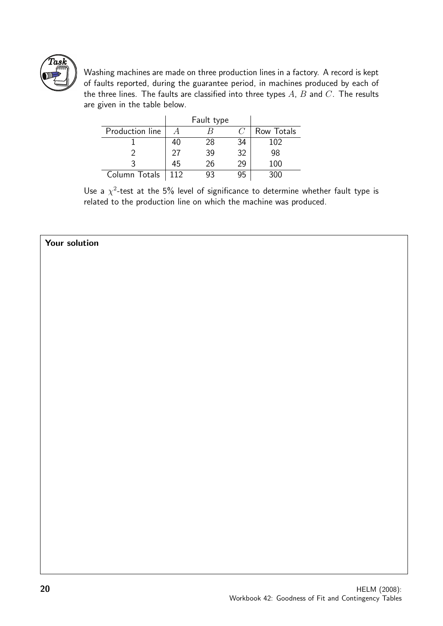

Washing machines are made on three production lines in a factory. A record is kept of faults reported, during the guarantee period, in machines produced by each of the three lines. The faults are classified into three types  $A$ ,  $B$  and  $C$ . The results are given in the table below.

|                 |     | Fault type |    |            |
|-----------------|-----|------------|----|------------|
| Production line |     |            |    | Row Totals |
|                 | 40  | 28         | 34 | 102        |
|                 | 27  | 39         | 32 | 98         |
|                 | 45  | 26         | 29 | 100        |
| Column Totals   | 112 |            |    | 300        |

Use a  $\chi^2$ -test at the 5% level of significance to determine whether fault type is related to the production line on which the machine was produced.

#### Your solution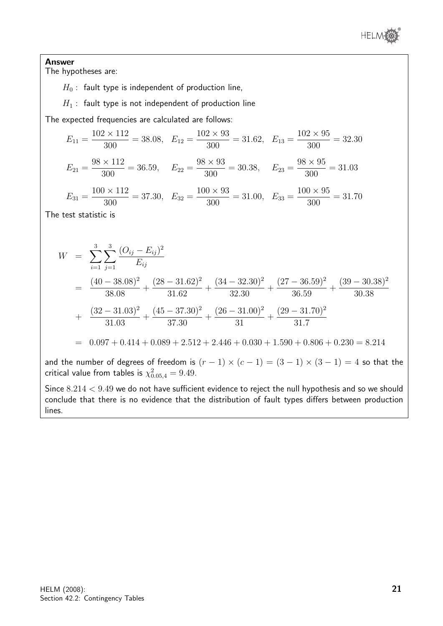

Answer The hypotheses are:

 $H_0$ : fault type is independent of production line,

 $H_1$ : fault type is not independent of production line

The expected frequencies are calculated are follows:

 $E_{11} =$  $102\times112$  $\frac{300}{300}$  = 38.08,  $E_{12}$  =  $102\times93$  $\frac{24880}{300} = 31.62$ ,  $E_{13} =$  $102\times95$ 300  $= 32.30$  $E_{21} =$  $98 \times 112$  $\frac{1}{300}$  = 36.59,  $E_{22}$  =  $98 \times 93$  $\frac{300}{300} = 30.38$ ,  $E_{23} =$  $98 \times 95$ 300  $= 31.03$ 

 $E_{31} =$  $100 \times 112$  $\frac{300}{300}$  = 37.30,  $E_{32}$  =  $100 \times 93$  $\frac{300}{300} = 31.00, E_{33} =$  $100 \times 95$ 300  $= 31.70$ 

The test statistic is

$$
W = \sum_{i=1}^{3} \sum_{j=1}^{3} \frac{(O_{ij} - E_{ij})^2}{E_{ij}}
$$
  
=  $\frac{(40 - 38.08)^2}{38.08} + \frac{(28 - 31.62)^2}{31.62} + \frac{(34 - 32.30)^2}{32.30} + \frac{(27 - 36.59)^2}{36.59} + \frac{(39 - 30.38)^2}{30.38}$   
+  $\frac{(32 - 31.03)^2}{31.03} + \frac{(45 - 37.30)^2}{37.30} + \frac{(26 - 31.00)^2}{31} + \frac{(29 - 31.70)^2}{31.7}$   
= 0.097 + 0.414 + 0.089 + 2.512 + 2.446 + 0.030 + 1.590 + 0.806 + 0.230 = 8.214

and the number of degrees of freedom is  $(r - 1) \times (c - 1) = (3 - 1) \times (3 - 1) = 4$  so that the critical value from tables is  $\chi^2_{0.05,4} = 9.49$ .

Since  $8.214 < 9.49$  we do not have sufficient evidence to reject the null hypothesis and so we should conclude that there is no evidence that the distribution of fault types differs between production lines.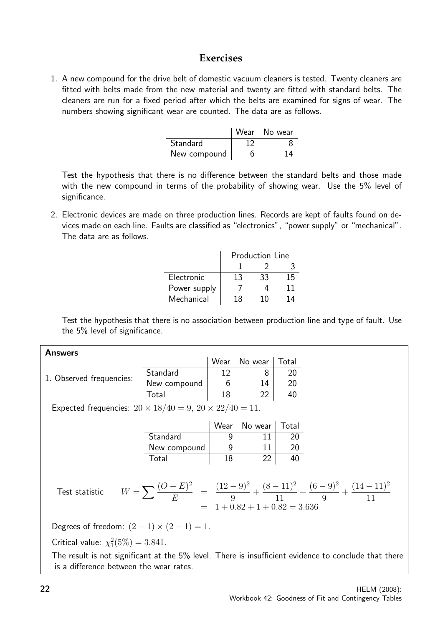### **Exercises**

1. A new compound for the drive belt of domestic vacuum cleaners is tested. Twenty cleaners are fitted with belts made from the new material and twenty are fitted with standard belts. The cleaners are run for a fixed period after which the belts are examined for signs of wear. The numbers showing significant wear are counted. The data are as follows.

|              | Wear No wear |
|--------------|--------------|
| Standard     |              |
| New compound | 14           |

Test the hypothesis that there is no difference between the standard belts and those made with the new compound in terms of the probability of showing wear. Use the 5% level of significance.

2. Electronic devices are made on three production lines. Records are kept of faults found on devices made on each line. Faults are classified as "electronics", "power supply" or "mechanical". The data are as follows.

|              | <b>Production Line</b> |    |    |  |  |  |  |
|--------------|------------------------|----|----|--|--|--|--|
|              |                        |    |    |  |  |  |  |
| Electronic   | 13                     | 33 | 15 |  |  |  |  |
| Power supply |                        |    | 11 |  |  |  |  |
| Mechanical   | 18                     | 10 | 14 |  |  |  |  |

Test the hypothesis that there is no association between production line and type of fault. Use the 5% level of significance.

| <b>Answers</b>           |              |    |              |       |
|--------------------------|--------------|----|--------------|-------|
|                          |              |    | Wear No wear | Total |
| 1. Observed frequencies: | Standard     |    |              | 20    |
|                          | New compound |    | 14           | 20    |
|                          | Total        | 18 | າາ           |       |

Expected frequencies:  $20 \times 18/40 = 9$ ,  $20 \times 22/40 = 11$ .

|              | Wear | No wear   Total |  |
|--------------|------|-----------------|--|
| Standard     |      |                 |  |
| New compound |      |                 |  |
| Total        | 18   |                 |  |

Test statistic

$$
W = \sum \frac{(O - E)^2}{E} = \frac{(12 - 9)^2}{9} + \frac{(8 - 11)^2}{11} + \frac{(6 - 9)^2}{9} + \frac{(14 - 11)^2}{11}
$$
  
= 1 + 0.82 + 1 + 0.82 = 3.636

Degrees of freedom:  $(2-1) \times (2-1) = 1$ .

Critical value:  $\chi_1^2(5\%) = 3.841$ .

The result is not significant at the 5% level. There is insufficient evidence to conclude that there is a difference between the wear rates.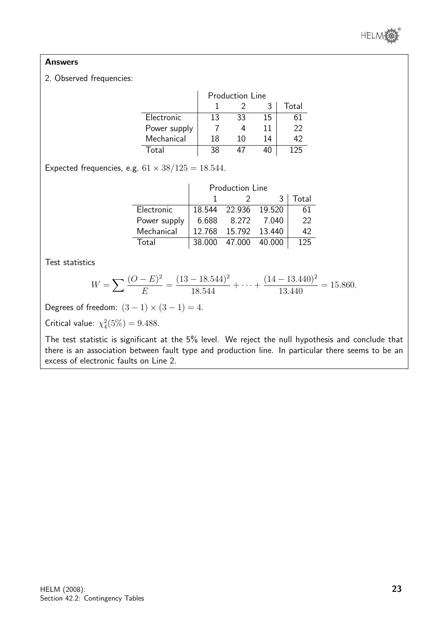

#### Answers

#### 2. Observed frequencies:

|              | <b>Production Line</b> |    |    |    |  |  |  |  |  |
|--------------|------------------------|----|----|----|--|--|--|--|--|
|              | Total                  |    |    |    |  |  |  |  |  |
| Electronic   | 13                     | 33 | 15 | 61 |  |  |  |  |  |
| Power supply |                        |    | 11 | 22 |  |  |  |  |  |
| Mechanical   | 18                     | 10 | 14 | 49 |  |  |  |  |  |
| ั∩tal        |                        |    |    |    |  |  |  |  |  |

Expected frequencies, e.g.  $61 \times 38/125 = 18.544$ .

|              | <b>Production Line</b> |                      |        |     |  |  |  |  |  |  |
|--------------|------------------------|----------------------|--------|-----|--|--|--|--|--|--|
|              |                        | Total<br>3           |        |     |  |  |  |  |  |  |
| Electronic   |                        | 18.544 22.936 19.520 |        | 61  |  |  |  |  |  |  |
| Power supply | Ნ ᲜᲒᲒ                  | 8.272                | 7.040  | 22  |  |  |  |  |  |  |
| Mechanical   | 12.768                 | 15.792 13.440        |        | 42  |  |  |  |  |  |  |
| Fotal        | 38.000                 | 47.000               | 40.000 | 125 |  |  |  |  |  |  |

Test statistics

$$
W = \sum \frac{(O - E)^2}{E} = \frac{(13 - 18.544)^2}{18.544} + \dots + \frac{(14 - 13.440)^2}{13.440} = 15.860.
$$

Degrees of freedom:  $(3-1) \times (3-1) = 4$ .

Critical value:  $\chi_4^2(5\%) = 9.488$ .

The test statistic is significant at the 5% level. We reject the null hypothesis and conclude that there is an association between fault type and production line. In particular there seems to be an excess of electronic faults on Line 2.